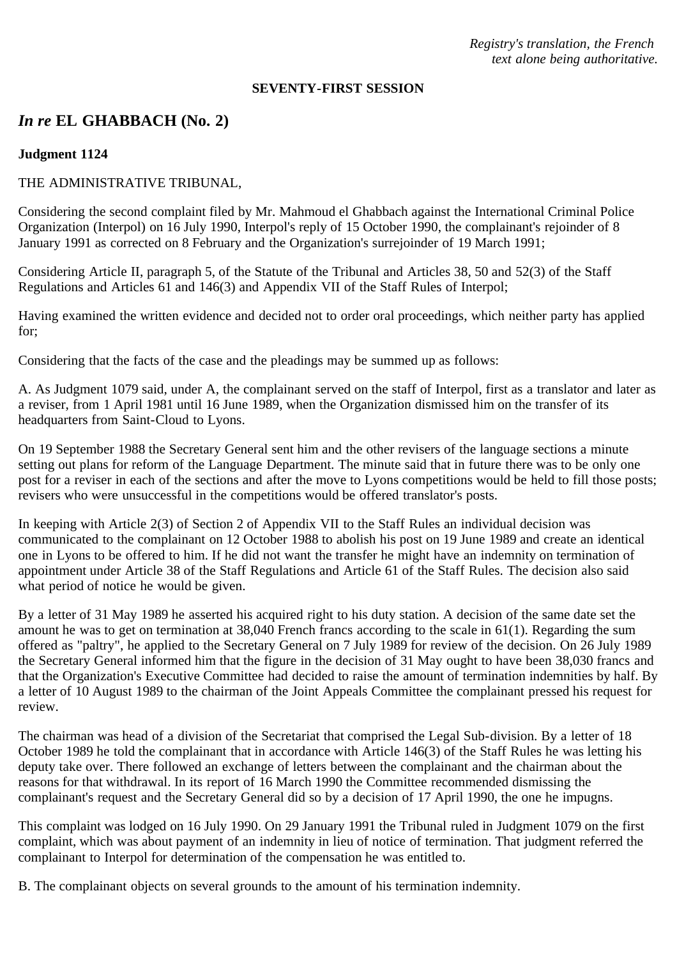*Registry's translation, the French text alone being authoritative.*

### **SEVENTY-FIRST SESSION**

# *In re* **EL GHABBACH (No. 2)**

### **Judgment 1124**

## THE ADMINISTRATIVE TRIBUNAL,

Considering the second complaint filed by Mr. Mahmoud el Ghabbach against the International Criminal Police Organization (Interpol) on 16 July 1990, Interpol's reply of 15 October 1990, the complainant's rejoinder of 8 January 1991 as corrected on 8 February and the Organization's surrejoinder of 19 March 1991;

Considering Article II, paragraph 5, of the Statute of the Tribunal and Articles 38, 50 and 52(3) of the Staff Regulations and Articles 61 and 146(3) and Appendix VII of the Staff Rules of Interpol;

Having examined the written evidence and decided not to order oral proceedings, which neither party has applied for;

Considering that the facts of the case and the pleadings may be summed up as follows:

A. As Judgment 1079 said, under A, the complainant served on the staff of Interpol, first as a translator and later as a reviser, from 1 April 1981 until 16 June 1989, when the Organization dismissed him on the transfer of its headquarters from Saint-Cloud to Lyons.

On 19 September 1988 the Secretary General sent him and the other revisers of the language sections a minute setting out plans for reform of the Language Department. The minute said that in future there was to be only one post for a reviser in each of the sections and after the move to Lyons competitions would be held to fill those posts; revisers who were unsuccessful in the competitions would be offered translator's posts.

In keeping with Article 2(3) of Section 2 of Appendix VII to the Staff Rules an individual decision was communicated to the complainant on 12 October 1988 to abolish his post on 19 June 1989 and create an identical one in Lyons to be offered to him. If he did not want the transfer he might have an indemnity on termination of appointment under Article 38 of the Staff Regulations and Article 61 of the Staff Rules. The decision also said what period of notice he would be given.

By a letter of 31 May 1989 he asserted his acquired right to his duty station. A decision of the same date set the amount he was to get on termination at 38,040 French francs according to the scale in 61(1). Regarding the sum offered as "paltry", he applied to the Secretary General on 7 July 1989 for review of the decision. On 26 July 1989 the Secretary General informed him that the figure in the decision of 31 May ought to have been 38,030 francs and that the Organization's Executive Committee had decided to raise the amount of termination indemnities by half. By a letter of 10 August 1989 to the chairman of the Joint Appeals Committee the complainant pressed his request for review.

The chairman was head of a division of the Secretariat that comprised the Legal Sub-division. By a letter of 18 October 1989 he told the complainant that in accordance with Article 146(3) of the Staff Rules he was letting his deputy take over. There followed an exchange of letters between the complainant and the chairman about the reasons for that withdrawal. In its report of 16 March 1990 the Committee recommended dismissing the complainant's request and the Secretary General did so by a decision of 17 April 1990, the one he impugns.

This complaint was lodged on 16 July 1990. On 29 January 1991 the Tribunal ruled in Judgment 1079 on the first complaint, which was about payment of an indemnity in lieu of notice of termination. That judgment referred the complainant to Interpol for determination of the compensation he was entitled to.

B. The complainant objects on several grounds to the amount of his termination indemnity.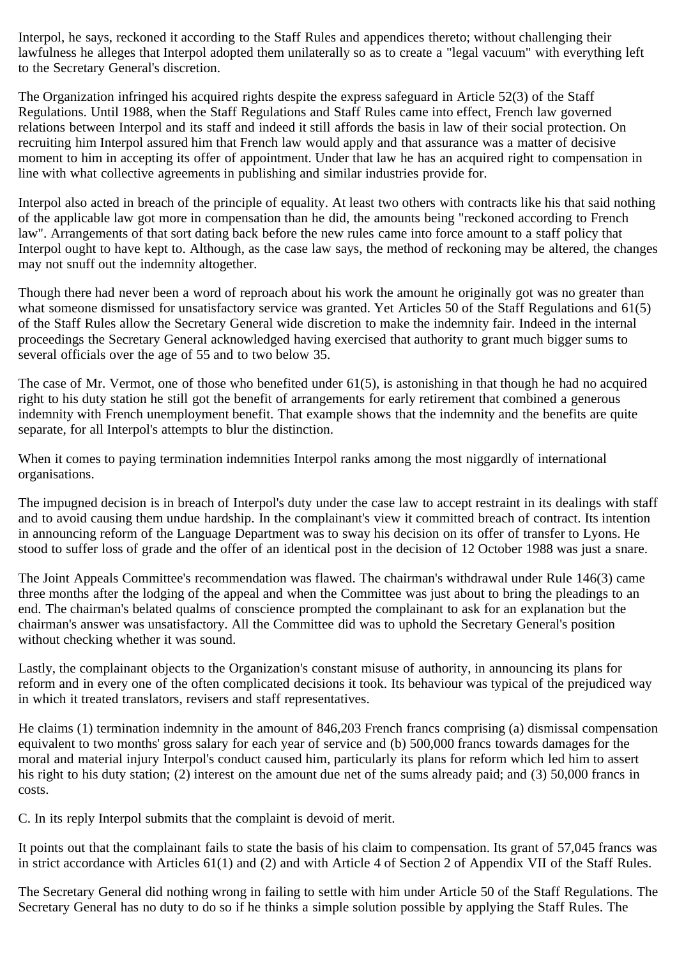Interpol, he says, reckoned it according to the Staff Rules and appendices thereto; without challenging their lawfulness he alleges that Interpol adopted them unilaterally so as to create a "legal vacuum" with everything left to the Secretary General's discretion.

The Organization infringed his acquired rights despite the express safeguard in Article 52(3) of the Staff Regulations. Until 1988, when the Staff Regulations and Staff Rules came into effect, French law governed relations between Interpol and its staff and indeed it still affords the basis in law of their social protection. On recruiting him Interpol assured him that French law would apply and that assurance was a matter of decisive moment to him in accepting its offer of appointment. Under that law he has an acquired right to compensation in line with what collective agreements in publishing and similar industries provide for.

Interpol also acted in breach of the principle of equality. At least two others with contracts like his that said nothing of the applicable law got more in compensation than he did, the amounts being "reckoned according to French law". Arrangements of that sort dating back before the new rules came into force amount to a staff policy that Interpol ought to have kept to. Although, as the case law says, the method of reckoning may be altered, the changes may not snuff out the indemnity altogether.

Though there had never been a word of reproach about his work the amount he originally got was no greater than what someone dismissed for unsatisfactory service was granted. Yet Articles 50 of the Staff Regulations and 61(5) of the Staff Rules allow the Secretary General wide discretion to make the indemnity fair. Indeed in the internal proceedings the Secretary General acknowledged having exercised that authority to grant much bigger sums to several officials over the age of 55 and to two below 35.

The case of Mr. Vermot, one of those who benefited under 61(5), is astonishing in that though he had no acquired right to his duty station he still got the benefit of arrangements for early retirement that combined a generous indemnity with French unemployment benefit. That example shows that the indemnity and the benefits are quite separate, for all Interpol's attempts to blur the distinction.

When it comes to paying termination indemnities Interpol ranks among the most niggardly of international organisations.

The impugned decision is in breach of Interpol's duty under the case law to accept restraint in its dealings with staff and to avoid causing them undue hardship. In the complainant's view it committed breach of contract. Its intention in announcing reform of the Language Department was to sway his decision on its offer of transfer to Lyons. He stood to suffer loss of grade and the offer of an identical post in the decision of 12 October 1988 was just a snare.

The Joint Appeals Committee's recommendation was flawed. The chairman's withdrawal under Rule 146(3) came three months after the lodging of the appeal and when the Committee was just about to bring the pleadings to an end. The chairman's belated qualms of conscience prompted the complainant to ask for an explanation but the chairman's answer was unsatisfactory. All the Committee did was to uphold the Secretary General's position without checking whether it was sound.

Lastly, the complainant objects to the Organization's constant misuse of authority, in announcing its plans for reform and in every one of the often complicated decisions it took. Its behaviour was typical of the prejudiced way in which it treated translators, revisers and staff representatives.

He claims (1) termination indemnity in the amount of 846,203 French francs comprising (a) dismissal compensation equivalent to two months' gross salary for each year of service and (b) 500,000 francs towards damages for the moral and material injury Interpol's conduct caused him, particularly its plans for reform which led him to assert his right to his duty station; (2) interest on the amount due net of the sums already paid; and (3) 50,000 francs in costs.

C. In its reply Interpol submits that the complaint is devoid of merit.

It points out that the complainant fails to state the basis of his claim to compensation. Its grant of 57,045 francs was in strict accordance with Articles 61(1) and (2) and with Article 4 of Section 2 of Appendix VII of the Staff Rules.

The Secretary General did nothing wrong in failing to settle with him under Article 50 of the Staff Regulations. The Secretary General has no duty to do so if he thinks a simple solution possible by applying the Staff Rules. The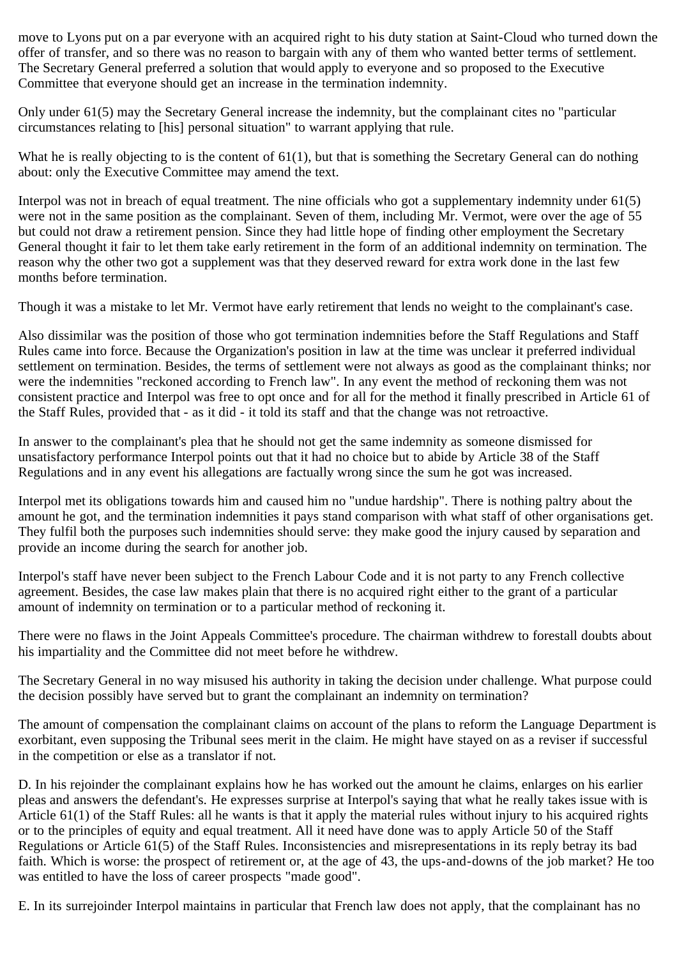move to Lyons put on a par everyone with an acquired right to his duty station at Saint-Cloud who turned down the offer of transfer, and so there was no reason to bargain with any of them who wanted better terms of settlement. The Secretary General preferred a solution that would apply to everyone and so proposed to the Executive Committee that everyone should get an increase in the termination indemnity.

Only under 61(5) may the Secretary General increase the indemnity, but the complainant cites no "particular circumstances relating to [his] personal situation" to warrant applying that rule.

What he is really objecting to is the content of 61(1), but that is something the Secretary General can do nothing about: only the Executive Committee may amend the text.

Interpol was not in breach of equal treatment. The nine officials who got a supplementary indemnity under 61(5) were not in the same position as the complainant. Seven of them, including Mr. Vermot, were over the age of 55 but could not draw a retirement pension. Since they had little hope of finding other employment the Secretary General thought it fair to let them take early retirement in the form of an additional indemnity on termination. The reason why the other two got a supplement was that they deserved reward for extra work done in the last few months before termination.

Though it was a mistake to let Mr. Vermot have early retirement that lends no weight to the complainant's case.

Also dissimilar was the position of those who got termination indemnities before the Staff Regulations and Staff Rules came into force. Because the Organization's position in law at the time was unclear it preferred individual settlement on termination. Besides, the terms of settlement were not always as good as the complainant thinks; nor were the indemnities "reckoned according to French law". In any event the method of reckoning them was not consistent practice and Interpol was free to opt once and for all for the method it finally prescribed in Article 61 of the Staff Rules, provided that - as it did - it told its staff and that the change was not retroactive.

In answer to the complainant's plea that he should not get the same indemnity as someone dismissed for unsatisfactory performance Interpol points out that it had no choice but to abide by Article 38 of the Staff Regulations and in any event his allegations are factually wrong since the sum he got was increased.

Interpol met its obligations towards him and caused him no "undue hardship". There is nothing paltry about the amount he got, and the termination indemnities it pays stand comparison with what staff of other organisations get. They fulfil both the purposes such indemnities should serve: they make good the injury caused by separation and provide an income during the search for another job.

Interpol's staff have never been subject to the French Labour Code and it is not party to any French collective agreement. Besides, the case law makes plain that there is no acquired right either to the grant of a particular amount of indemnity on termination or to a particular method of reckoning it.

There were no flaws in the Joint Appeals Committee's procedure. The chairman withdrew to forestall doubts about his impartiality and the Committee did not meet before he withdrew.

The Secretary General in no way misused his authority in taking the decision under challenge. What purpose could the decision possibly have served but to grant the complainant an indemnity on termination?

The amount of compensation the complainant claims on account of the plans to reform the Language Department is exorbitant, even supposing the Tribunal sees merit in the claim. He might have stayed on as a reviser if successful in the competition or else as a translator if not.

D. In his rejoinder the complainant explains how he has worked out the amount he claims, enlarges on his earlier pleas and answers the defendant's. He expresses surprise at Interpol's saying that what he really takes issue with is Article 61(1) of the Staff Rules: all he wants is that it apply the material rules without injury to his acquired rights or to the principles of equity and equal treatment. All it need have done was to apply Article 50 of the Staff Regulations or Article 61(5) of the Staff Rules. Inconsistencies and misrepresentations in its reply betray its bad faith. Which is worse: the prospect of retirement or, at the age of 43, the ups-and-downs of the job market? He too was entitled to have the loss of career prospects "made good".

E. In its surrejoinder Interpol maintains in particular that French law does not apply, that the complainant has no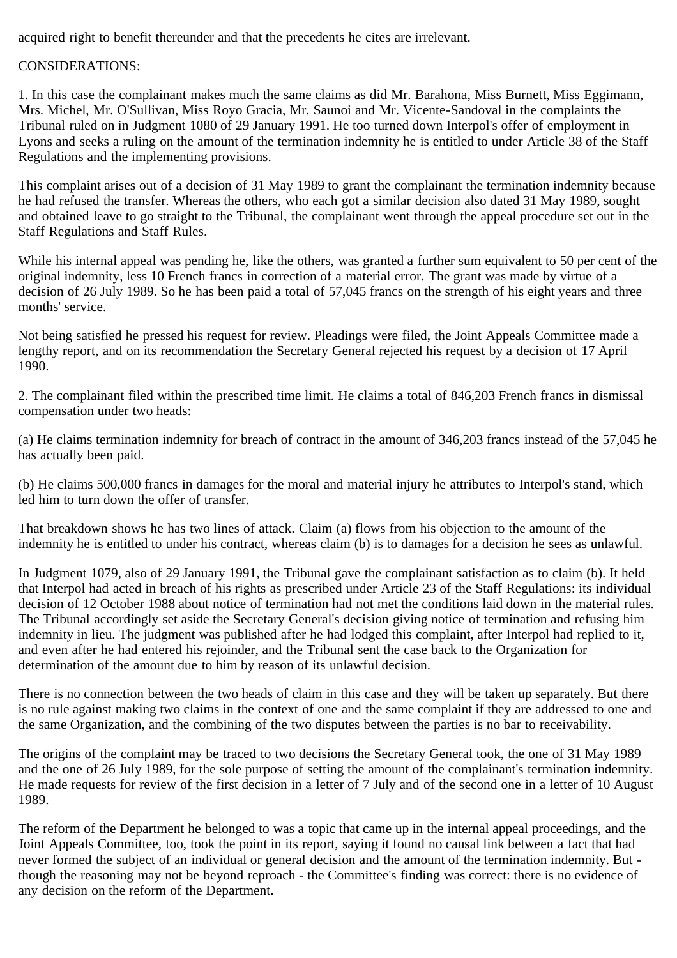acquired right to benefit thereunder and that the precedents he cites are irrelevant.

## CONSIDERATIONS:

1. In this case the complainant makes much the same claims as did Mr. Barahona, Miss Burnett, Miss Eggimann, Mrs. Michel, Mr. O'Sullivan, Miss Royo Gracia, Mr. Saunoi and Mr. Vicente-Sandoval in the complaints the Tribunal ruled on in Judgment 1080 of 29 January 1991. He too turned down Interpol's offer of employment in Lyons and seeks a ruling on the amount of the termination indemnity he is entitled to under Article 38 of the Staff Regulations and the implementing provisions.

This complaint arises out of a decision of 31 May 1989 to grant the complainant the termination indemnity because he had refused the transfer. Whereas the others, who each got a similar decision also dated 31 May 1989, sought and obtained leave to go straight to the Tribunal, the complainant went through the appeal procedure set out in the Staff Regulations and Staff Rules.

While his internal appeal was pending he, like the others, was granted a further sum equivalent to 50 per cent of the original indemnity, less 10 French francs in correction of a material error. The grant was made by virtue of a decision of 26 July 1989. So he has been paid a total of 57,045 francs on the strength of his eight years and three months' service.

Not being satisfied he pressed his request for review. Pleadings were filed, the Joint Appeals Committee made a lengthy report, and on its recommendation the Secretary General rejected his request by a decision of 17 April 1990.

2. The complainant filed within the prescribed time limit. He claims a total of 846,203 French francs in dismissal compensation under two heads:

(a) He claims termination indemnity for breach of contract in the amount of 346,203 francs instead of the 57,045 he has actually been paid.

(b) He claims 500,000 francs in damages for the moral and material injury he attributes to Interpol's stand, which led him to turn down the offer of transfer.

That breakdown shows he has two lines of attack. Claim (a) flows from his objection to the amount of the indemnity he is entitled to under his contract, whereas claim (b) is to damages for a decision he sees as unlawful.

In Judgment 1079, also of 29 January 1991, the Tribunal gave the complainant satisfaction as to claim (b). It held that Interpol had acted in breach of his rights as prescribed under Article 23 of the Staff Regulations: its individual decision of 12 October 1988 about notice of termination had not met the conditions laid down in the material rules. The Tribunal accordingly set aside the Secretary General's decision giving notice of termination and refusing him indemnity in lieu. The judgment was published after he had lodged this complaint, after Interpol had replied to it, and even after he had entered his rejoinder, and the Tribunal sent the case back to the Organization for determination of the amount due to him by reason of its unlawful decision.

There is no connection between the two heads of claim in this case and they will be taken up separately. But there is no rule against making two claims in the context of one and the same complaint if they are addressed to one and the same Organization, and the combining of the two disputes between the parties is no bar to receivability.

The origins of the complaint may be traced to two decisions the Secretary General took, the one of 31 May 1989 and the one of 26 July 1989, for the sole purpose of setting the amount of the complainant's termination indemnity. He made requests for review of the first decision in a letter of 7 July and of the second one in a letter of 10 August 1989.

The reform of the Department he belonged to was a topic that came up in the internal appeal proceedings, and the Joint Appeals Committee, too, took the point in its report, saying it found no causal link between a fact that had never formed the subject of an individual or general decision and the amount of the termination indemnity. But though the reasoning may not be beyond reproach - the Committee's finding was correct: there is no evidence of any decision on the reform of the Department.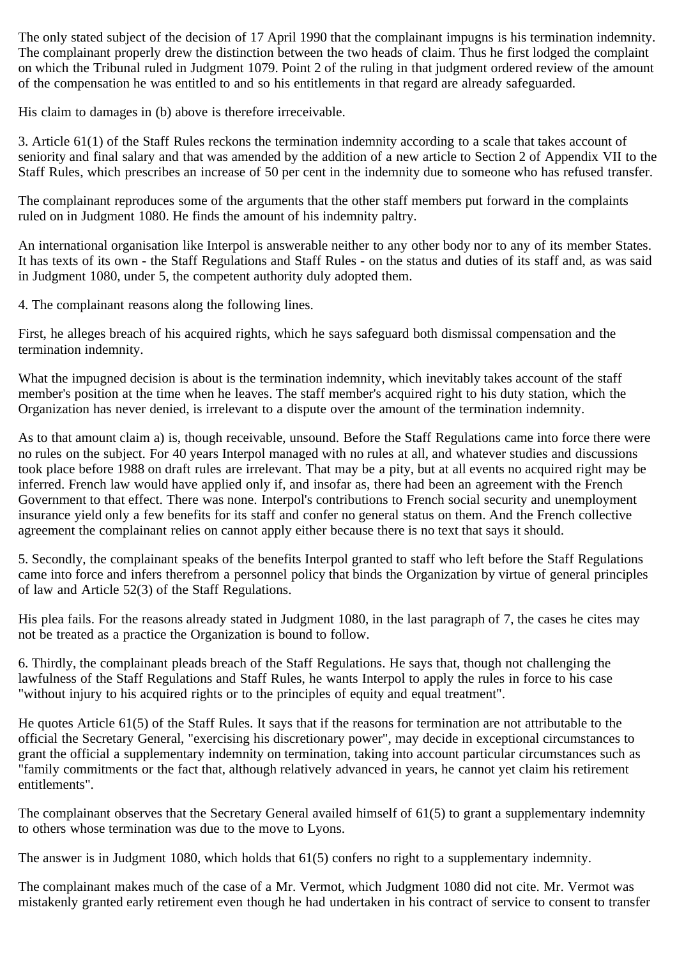The only stated subject of the decision of 17 April 1990 that the complainant impugns is his termination indemnity. The complainant properly drew the distinction between the two heads of claim. Thus he first lodged the complaint on which the Tribunal ruled in Judgment 1079. Point 2 of the ruling in that judgment ordered review of the amount of the compensation he was entitled to and so his entitlements in that regard are already safeguarded.

His claim to damages in (b) above is therefore irreceivable.

3. Article 61(1) of the Staff Rules reckons the termination indemnity according to a scale that takes account of seniority and final salary and that was amended by the addition of a new article to Section 2 of Appendix VII to the Staff Rules, which prescribes an increase of 50 per cent in the indemnity due to someone who has refused transfer.

The complainant reproduces some of the arguments that the other staff members put forward in the complaints ruled on in Judgment 1080. He finds the amount of his indemnity paltry.

An international organisation like Interpol is answerable neither to any other body nor to any of its member States. It has texts of its own - the Staff Regulations and Staff Rules - on the status and duties of its staff and, as was said in Judgment 1080, under 5, the competent authority duly adopted them.

4. The complainant reasons along the following lines.

First, he alleges breach of his acquired rights, which he says safeguard both dismissal compensation and the termination indemnity.

What the impugned decision is about is the termination indemnity, which inevitably takes account of the staff member's position at the time when he leaves. The staff member's acquired right to his duty station, which the Organization has never denied, is irrelevant to a dispute over the amount of the termination indemnity.

As to that amount claim a) is, though receivable, unsound. Before the Staff Regulations came into force there were no rules on the subject. For 40 years Interpol managed with no rules at all, and whatever studies and discussions took place before 1988 on draft rules are irrelevant. That may be a pity, but at all events no acquired right may be inferred. French law would have applied only if, and insofar as, there had been an agreement with the French Government to that effect. There was none. Interpol's contributions to French social security and unemployment insurance yield only a few benefits for its staff and confer no general status on them. And the French collective agreement the complainant relies on cannot apply either because there is no text that says it should.

5. Secondly, the complainant speaks of the benefits Interpol granted to staff who left before the Staff Regulations came into force and infers therefrom a personnel policy that binds the Organization by virtue of general principles of law and Article 52(3) of the Staff Regulations.

His plea fails. For the reasons already stated in Judgment 1080, in the last paragraph of 7, the cases he cites may not be treated as a practice the Organization is bound to follow.

6. Thirdly, the complainant pleads breach of the Staff Regulations. He says that, though not challenging the lawfulness of the Staff Regulations and Staff Rules, he wants Interpol to apply the rules in force to his case "without injury to his acquired rights or to the principles of equity and equal treatment".

He quotes Article 61(5) of the Staff Rules. It says that if the reasons for termination are not attributable to the official the Secretary General, "exercising his discretionary power", may decide in exceptional circumstances to grant the official a supplementary indemnity on termination, taking into account particular circumstances such as "family commitments or the fact that, although relatively advanced in years, he cannot yet claim his retirement entitlements".

The complainant observes that the Secretary General availed himself of 61(5) to grant a supplementary indemnity to others whose termination was due to the move to Lyons.

The answer is in Judgment 1080, which holds that 61(5) confers no right to a supplementary indemnity.

The complainant makes much of the case of a Mr. Vermot, which Judgment 1080 did not cite. Mr. Vermot was mistakenly granted early retirement even though he had undertaken in his contract of service to consent to transfer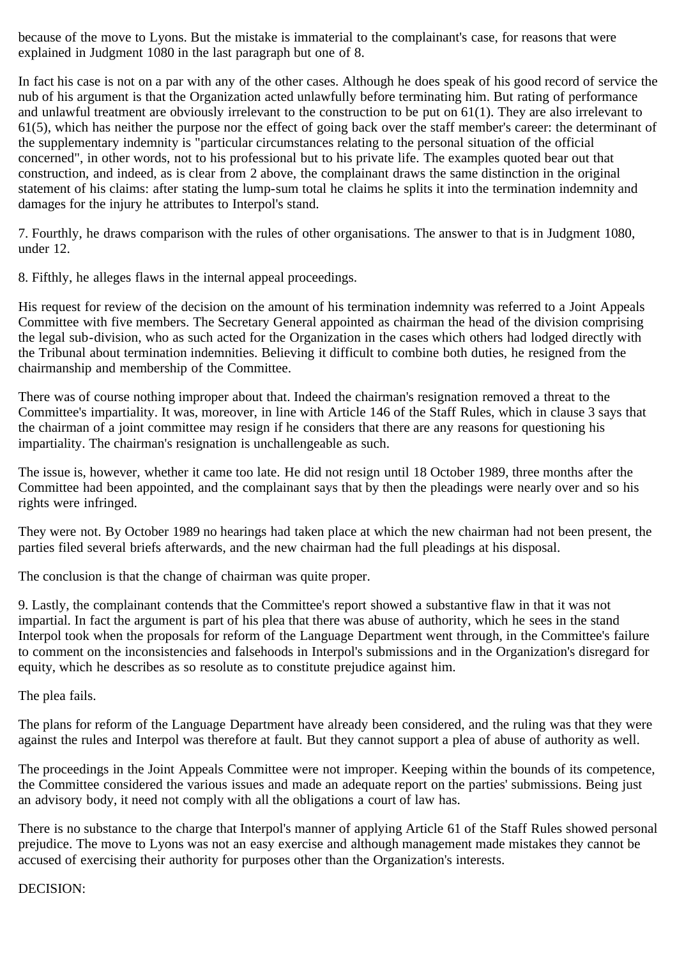because of the move to Lyons. But the mistake is immaterial to the complainant's case, for reasons that were explained in Judgment 1080 in the last paragraph but one of 8.

In fact his case is not on a par with any of the other cases. Although he does speak of his good record of service the nub of his argument is that the Organization acted unlawfully before terminating him. But rating of performance and unlawful treatment are obviously irrelevant to the construction to be put on 61(1). They are also irrelevant to 61(5), which has neither the purpose nor the effect of going back over the staff member's career: the determinant of the supplementary indemnity is "particular circumstances relating to the personal situation of the official concerned", in other words, not to his professional but to his private life. The examples quoted bear out that construction, and indeed, as is clear from 2 above, the complainant draws the same distinction in the original statement of his claims: after stating the lump-sum total he claims he splits it into the termination indemnity and damages for the injury he attributes to Interpol's stand.

7. Fourthly, he draws comparison with the rules of other organisations. The answer to that is in Judgment 1080, under 12.

8. Fifthly, he alleges flaws in the internal appeal proceedings.

His request for review of the decision on the amount of his termination indemnity was referred to a Joint Appeals Committee with five members. The Secretary General appointed as chairman the head of the division comprising the legal sub-division, who as such acted for the Organization in the cases which others had lodged directly with the Tribunal about termination indemnities. Believing it difficult to combine both duties, he resigned from the chairmanship and membership of the Committee.

There was of course nothing improper about that. Indeed the chairman's resignation removed a threat to the Committee's impartiality. It was, moreover, in line with Article 146 of the Staff Rules, which in clause 3 says that the chairman of a joint committee may resign if he considers that there are any reasons for questioning his impartiality. The chairman's resignation is unchallengeable as such.

The issue is, however, whether it came too late. He did not resign until 18 October 1989, three months after the Committee had been appointed, and the complainant says that by then the pleadings were nearly over and so his rights were infringed.

They were not. By October 1989 no hearings had taken place at which the new chairman had not been present, the parties filed several briefs afterwards, and the new chairman had the full pleadings at his disposal.

The conclusion is that the change of chairman was quite proper.

9. Lastly, the complainant contends that the Committee's report showed a substantive flaw in that it was not impartial. In fact the argument is part of his plea that there was abuse of authority, which he sees in the stand Interpol took when the proposals for reform of the Language Department went through, in the Committee's failure to comment on the inconsistencies and falsehoods in Interpol's submissions and in the Organization's disregard for equity, which he describes as so resolute as to constitute prejudice against him.

The plea fails.

The plans for reform of the Language Department have already been considered, and the ruling was that they were against the rules and Interpol was therefore at fault. But they cannot support a plea of abuse of authority as well.

The proceedings in the Joint Appeals Committee were not improper. Keeping within the bounds of its competence, the Committee considered the various issues and made an adequate report on the parties' submissions. Being just an advisory body, it need not comply with all the obligations a court of law has.

There is no substance to the charge that Interpol's manner of applying Article 61 of the Staff Rules showed personal prejudice. The move to Lyons was not an easy exercise and although management made mistakes they cannot be accused of exercising their authority for purposes other than the Organization's interests.

# DECISION: